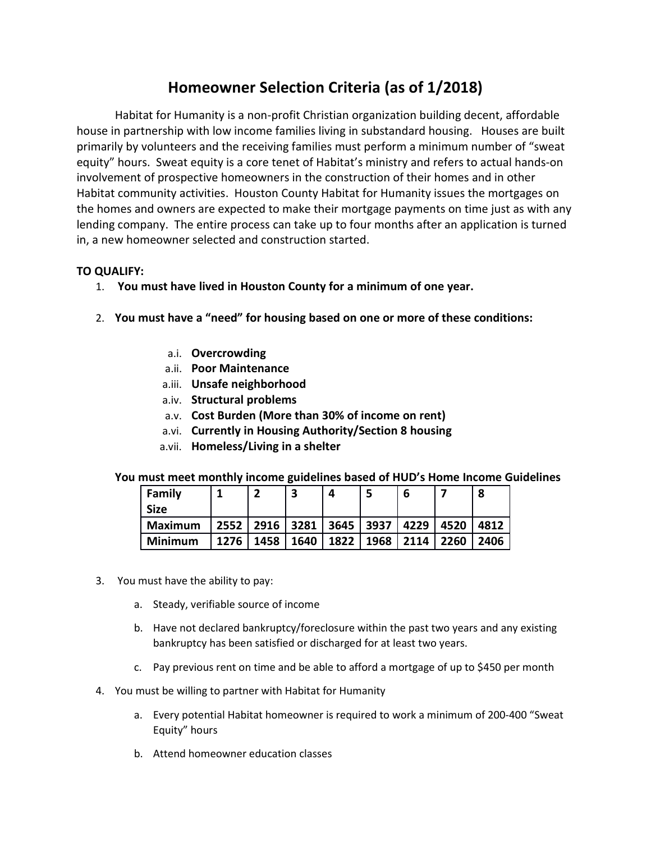## **Homeowner Selection Criteria (as of 1/2018)**

Habitat for Humanity is a non-profit Christian organization building decent, affordable house in partnership with low income families living in substandard housing. Houses are built primarily by volunteers and the receiving families must perform a minimum number of "sweat equity" hours. Sweat equity is a core tenet of Habitat's ministry and refers to actual hands-on involvement of prospective homeowners in the construction of their homes and in other Habitat community activities. Houston County Habitat for Humanity issues the mortgages on the homes and owners are expected to make their mortgage payments on time just as with any lending company. The entire process can take up to four months after an application is turned in, a new homeowner selected and construction started.

## **TO QUALIFY:**

- 1. **You must have lived in Houston County for a minimum of one year.**
- 2. **You must have a "need" for housing based on one or more of these conditions:**
	- a.i. **Overcrowding**
	- a.ii. **Poor Maintenance**
	- a.iii. **Unsafe neighborhood**
	- a.iv. **Structural problems**
	- a.v. **Cost Burden (More than 30% of income on rent)**
	- a.vi. **Currently in Housing Authority/Section 8 housing**
	- a.vii. **Homeless/Living in a shelter**

## **You must meet monthly income guidelines based of HUD's Home Income Guidelines**

| Family         |      |      |      | Δ    |      | b    |      | 8    |
|----------------|------|------|------|------|------|------|------|------|
| <b>Size</b>    |      |      |      |      |      |      |      |      |
| Maximum        | 2552 | 2916 | 3281 | 3645 | 3937 | 4229 | 4520 | 4812 |
| <b>Minimum</b> | 1276 | 1458 | 1640 | 1822 | 1968 | 2114 | 2260 | 2406 |

- 3. You must have the ability to pay:
	- a. Steady, verifiable source of income
	- b. Have not declared bankruptcy/foreclosure within the past two years and any existing bankruptcy has been satisfied or discharged for at least two years.
	- c. Pay previous rent on time and be able to afford a mortgage of up to \$450 per month
- 4. You must be willing to partner with Habitat for Humanity
	- a. Every potential Habitat homeowner is required to work a minimum of 200-400 "Sweat Equity" hours
	- b. Attend homeowner education classes